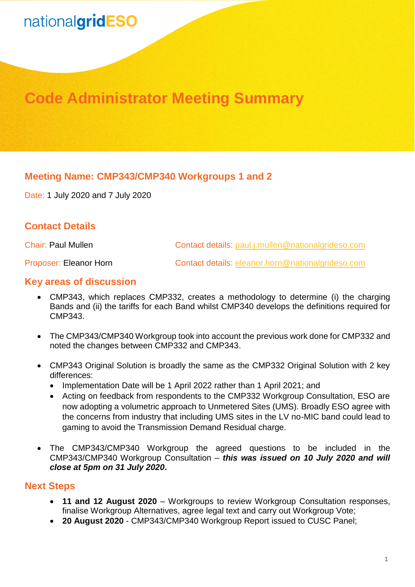# nationalgridESO

## **Code Administrator Meeting Summary**

### **Meeting Name: CMP343/CMP340 Workgroups 1 and 2**

Date: 1 July 2020 and 7 July 2020

### **Contact Details**

Chair: Paul Mullen Contact details: [paul.j.mullen@nationalgrideso.com](mailto:paul.j.mullen@nationalgrideso.com)

Proposer: Eleanor Horn Contact details: [eleanor.horn@nationalgrideso.com](mailto:eleanor.horn@nationalgrideso.com)

#### **Key areas of discussion**

- CMP343, which replaces CMP332, creates a methodology to determine (i) the charging Bands and (ii) the tariffs for each Band whilst CMP340 develops the definitions required for CMP343.
- The CMP343/CMP340 Workgroup took into account the previous work done for CMP332 and noted the changes between CMP332 and CMP343.
- CMP343 Original Solution is broadly the same as the CMP332 Original Solution with 2 key differences:
	- Implementation Date will be 1 April 2022 rather than 1 April 2021; and
	- Acting on feedback from respondents to the CMP332 Workgroup Consultation, ESO are now adopting a volumetric approach to Unmetered Sites (UMS). Broadly ESO agree with the concerns from industry that including UMS sites in the LV no-MIC band could lead to gaming to avoid the Transmission Demand Residual charge.
- The CMP343/CMP340 Workgroup the agreed questions to be included in the CMP343/CMP340 Workgroup Consultation – *this was issued on 10 July 2020 and will close at 5pm on 31 July 2020***.**

#### **Next Steps**

- **11 and 12 August 2020** Workgroups to review Workgroup Consultation responses, finalise Workgroup Alternatives, agree legal text and carry out Workgroup Vote;
- **20 August 2020** CMP343/CMP340 Workgroup Report issued to CUSC Panel;